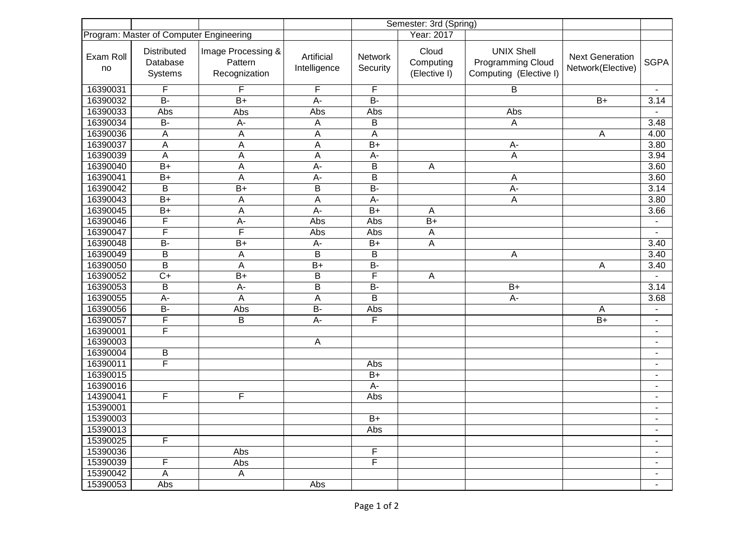|                                         |                                    |                                                |                            | Semester: 3rd (Spring) |                                    |                                                                         |                                             |                          |
|-----------------------------------------|------------------------------------|------------------------------------------------|----------------------------|------------------------|------------------------------------|-------------------------------------------------------------------------|---------------------------------------------|--------------------------|
| Program: Master of Computer Engineering |                                    |                                                |                            | Year: 2017             |                                    |                                                                         |                                             |                          |
| Exam Roll<br>no                         | Distributed<br>Database<br>Systems | Image Processing &<br>Pattern<br>Recognization | Artificial<br>Intelligence | Network<br>Security    | Cloud<br>Computing<br>(Elective I) | <b>UNIX Shell</b><br><b>Programming Cloud</b><br>Computing (Elective I) | <b>Next Generation</b><br>Network(Elective) | <b>SGPA</b>              |
| 16390031                                | F                                  | F                                              | F                          | F                      |                                    | B                                                                       |                                             | $\blacksquare$           |
| 16390032                                | $B -$                              | $B+$                                           | A-                         | <b>B-</b>              |                                    |                                                                         | $B+$                                        | 3.14                     |
| 16390033                                | Abs                                | Abs                                            | Abs                        | Abs                    |                                    | Abs                                                                     |                                             |                          |
| 16390034                                | <b>B-</b>                          | A-                                             | A                          | B                      |                                    | $\overline{A}$                                                          |                                             | 3.48                     |
| 16390036                                | A                                  | A                                              | A                          | A                      |                                    |                                                                         | A                                           | 4.00                     |
| 16390037                                | A                                  | A                                              | A                          | $\overline{B+}$        |                                    | A-                                                                      |                                             | 3.80                     |
| 16390039                                | A                                  | A                                              | A                          | A-                     |                                    | A                                                                       |                                             | 3.94                     |
| 16390040                                | $B+$                               | A                                              | A-                         | B                      | A                                  |                                                                         |                                             | 3.60                     |
| 16390041                                | $B+$                               | A                                              | $\overline{A}$             | $\overline{B}$         |                                    | А                                                                       |                                             | 3.60                     |
| 16390042                                | B                                  | $B+$                                           | B                          | $B -$                  |                                    | A-                                                                      |                                             | 3.14                     |
| 16390043                                | $B+$                               | A                                              | A                          | A-                     |                                    | A                                                                       |                                             | 3.80                     |
| 16390045                                | $B+$                               | $\mathsf{A}$                                   | A-                         | $B+$                   | A                                  |                                                                         |                                             | 3.66                     |
| 16390046                                | F                                  | $\overline{A}$                                 | Abs                        | Abs                    | $B+$                               |                                                                         |                                             |                          |
| 16390047                                | F                                  | $\overline{F}$                                 | Abs                        | Abs                    | A                                  |                                                                         |                                             |                          |
| 16390048                                | <b>B-</b>                          | $B+$                                           | A-                         | $B+$                   | $\boldsymbol{\mathsf{A}}$          |                                                                         |                                             | 3.40                     |
| 16390049                                | B                                  | A                                              | B                          | B                      |                                    | Α                                                                       |                                             | 3.40                     |
| 16390050                                | B                                  | A                                              | $B+$                       | $B -$                  |                                    |                                                                         | A                                           | 3.40                     |
| 16390052                                | $\overline{C+}$                    | $B+$                                           | B                          | F                      | A                                  |                                                                         |                                             |                          |
| 16390053                                | B                                  | $\overline{A}$                                 | $\overline{B}$             | $B -$                  |                                    | $B+$                                                                    |                                             | 3.14                     |
| 16390055                                | $A -$                              | A                                              | A                          | B                      |                                    | A-                                                                      |                                             | 3.68                     |
| 16390056                                | $\overline{B}$                     | Abs                                            | $B -$                      | Abs                    |                                    |                                                                         | A                                           |                          |
| 16390057                                | F                                  | $\overline{B}$                                 | A-                         | F                      |                                    |                                                                         | $B+$                                        | $\blacksquare$           |
| 16390001                                | F                                  |                                                |                            |                        |                                    |                                                                         |                                             | $\blacksquare$           |
| 16390003                                |                                    |                                                | A                          |                        |                                    |                                                                         |                                             | $\overline{\phantom{a}}$ |
| 16390004                                | B                                  |                                                |                            |                        |                                    |                                                                         |                                             | $\blacksquare$           |
| 16390011                                | F                                  |                                                |                            | Abs                    |                                    |                                                                         |                                             | $\blacksquare$           |
| 16390015                                |                                    |                                                |                            | $B+$                   |                                    |                                                                         |                                             |                          |
| 16390016                                |                                    |                                                |                            | A-                     |                                    |                                                                         |                                             | $\overline{\phantom{a}}$ |
| 14390041                                | F                                  | F                                              |                            | Abs                    |                                    |                                                                         |                                             | $\blacksquare$           |
| 15390001                                |                                    |                                                |                            |                        |                                    |                                                                         |                                             | $\blacksquare$           |
| 15390003                                |                                    |                                                |                            | $B+$                   |                                    |                                                                         |                                             |                          |
| 15390013                                |                                    |                                                |                            | Abs                    |                                    |                                                                         |                                             | $\blacksquare$           |
| 15390025                                | F                                  |                                                |                            |                        |                                    |                                                                         |                                             | $\blacksquare$           |
| 15390036                                |                                    | Abs                                            |                            | F                      |                                    |                                                                         |                                             | $\blacksquare$           |
| 15390039                                | F                                  | Abs                                            |                            | F                      |                                    |                                                                         |                                             | $\blacksquare$           |
| 15390042                                | A                                  | A                                              |                            |                        |                                    |                                                                         |                                             |                          |
| 15390053                                | Abs                                |                                                | Abs                        |                        |                                    |                                                                         |                                             | $\blacksquare$           |